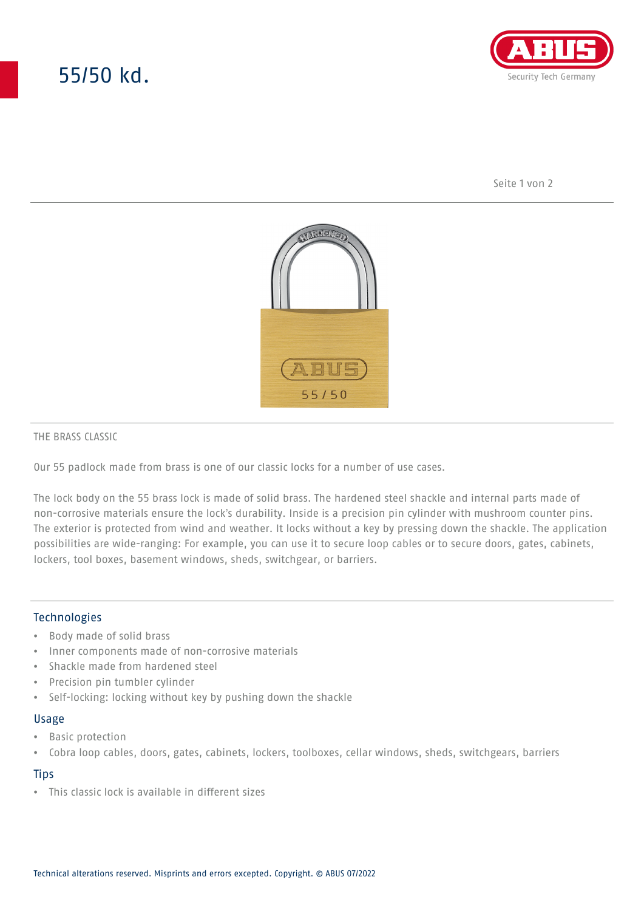# 55/50 kd.



Seite 1 von 2



#### THE BRASS CLASSIC

Our 55 padlock made from brass is one of our classic locks for a number of use cases.

The lock body on the 55 brass lock is made of solid brass. The hardened steel shackle and internal parts made of non-corrosive materials ensure the lock's durability. Inside is a precision pin cylinder with mushroom counter pins. The exterior is protected from wind and weather. It locks without a key by pressing down the shackle. The application possibilities are wide-ranging: For example, you can use it to secure loop cables or to secure doors, gates, cabinets, lockers, tool boxes, basement windows, sheds, switchgear, or barriers.

### Technologies

- Body made of solid brass
- Inner components made of non-corrosive materials
- Shackle made from hardened steel
- Precision pin tumbler cylinder
- Self-locking: locking without key by pushing down the shackle

#### Usage

- Basic protection
- Cobra loop cables, doors, gates, cabinets, lockers, toolboxes, cellar windows, sheds, switchgears, barriers

### **Tips**

• This classic lock is available in different sizes